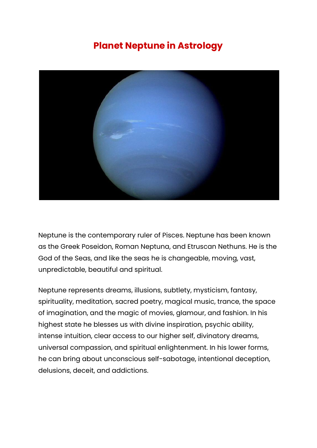## **Planet Neptune in Astrology**



Neptune is the contemporary ruler of Pisces. Neptune has been known as the Greek Poseidon, Roman Neptuna, and Etruscan Nethuns. He is the God of the Seas, and like the seas he is changeable, moving, vast, unpredictable, beautiful and spiritual.

Neptune represents dreams, illusions, subtlety, mysticism, fantasy, spirituality, meditation, sacred poetry, magical music, trance, the space of imagination, and the magic of movies, glamour, and fashion. In his highest state he blesses us with divine inspiration, psychic ability, intense intuition, clear access to our higher self, divinatory dreams, universal compassion, and spiritual enlightenment. In his lower forms, he can bring about unconscious self-sabotage, intentional deception, delusions, deceit, and addictions.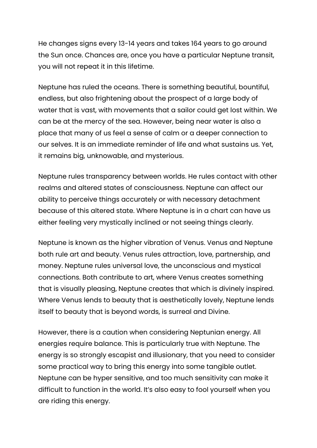He changes signs every 13-14 years and takes 164 years to go around the Sun once. Chances are, once you have a particular Neptune transit, you will not repeat it in this lifetime.

Neptune has ruled the oceans. There is something beautiful, bountiful, endless, but also frightening about the prospect of a large body of water that is vast, with movements that a sailor could get lost within. We can be at the mercy of the sea. However, being near water is also a place that many of us feel a sense of calm or a deeper connection to our selves. It is an immediate reminder of life and what sustains us. Yet, it remains big, unknowable, and mysterious.

Neptune rules transparency between worlds. He rules contact with other realms and altered states of consciousness. Neptune can affect our ability to perceive things accurately or with necessary detachment because of this altered state. Where Neptune is in a chart can have us either feeling very mystically inclined or not seeing things clearly.

Neptune is known as the higher vibration of Venus. Venus and Neptune both rule art and beauty. Venus rules attraction, love, partnership, and money. Neptune rules universal love, the unconscious and mystical connections. Both contribute to art, where Venus creates something that is visually pleasing, Neptune creates that which is divinely inspired. Where Venus lends to beauty that is aesthetically lovely, Neptune lends itself to beauty that is beyond words, is surreal and Divine.

However, there is a caution when considering Neptunian energy. All energies require balance. This is particularly true with Neptune. The energy is so strongly escapist and illusionary, that you need to consider some practical way to bring this energy into some tangible outlet. Neptune can be hyper sensitive, and too much sensitivity can make it difficult to function in the world. It's also easy to fool yourself when you are riding this energy.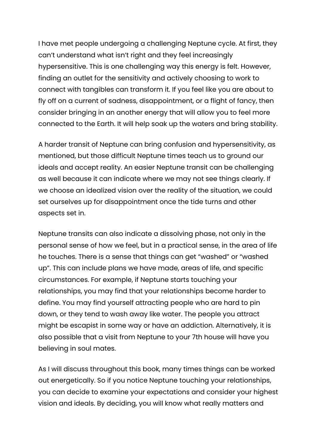I have met people undergoing a challenging Neptune cycle. At first, they can't understand what isn't right and they feel increasingly hypersensitive. This is one challenging way this energy is felt. However, finding an outlet for the sensitivity and actively choosing to work to connect with tangibles can transform it. If you feel like you are about to fly off on a current of sadness, disappointment, or a flight of fancy, then consider bringing in an another energy that will allow you to feel more connected to the Earth. It will help soak up the waters and bring stability.

A harder transit of Neptune can bring confusion and hypersensitivity, as mentioned, but those difficult Neptune times teach us to ground our ideals and accept reality. An easier Neptune transit can be challenging as well because it can indicate where we may not see things clearly. If we choose an idealized vision over the reality of the situation, we could set ourselves up for disappointment once the tide turns and other aspects set in.

Neptune transits can also indicate a dissolving phase, not only in the personal sense of how we feel, but in a practical sense, in the area of life he touches. There is a sense that things can get "washed" or "washed up". This can include plans we have made, areas of life, and specific circumstances. For example, if Neptune starts touching your relationships, you may find that your relationships become harder to define. You may find yourself attracting people who are hard to pin down, or they tend to wash away like water. The people you attract might be escapist in some way or have an addiction. Alternatively, it is also possible that a visit from Neptune to your 7th house will have you believing in soul mates.

As I will discuss throughout this book, many times things can be worked out energetically. So if you notice Neptune touching your relationships, you can decide to examine your expectations and consider your highest vision and ideals. By deciding, you will know what really matters and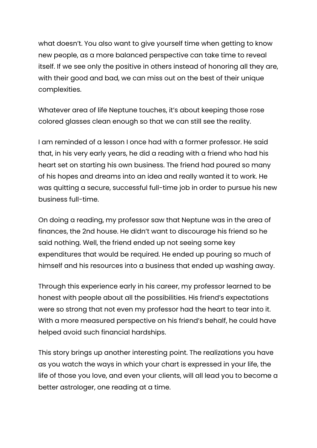what doesn't. You also want to give yourself time when getting to know new people, as a more balanced perspective can take time to reveal itself. If we see only the positive in others instead of honoring all they are, with their good and bad, we can miss out on the best of their unique complexities.

Whatever area of life Neptune touches, it's about keeping those rose colored glasses clean enough so that we can still see the reality.

I am reminded of a lesson I once had with a former professor. He said that, in his very early years, he did a reading with a friend who had his heart set on starting his own business. The friend had poured so many of his hopes and dreams into an idea and really wanted it to work. He was quitting a secure, successful full-time job in order to pursue his new business full-time.

On doing a reading, my professor saw that Neptune was in the area of finances, the 2nd house. He didn't want to discourage his friend so he said nothing. Well, the friend ended up not seeing some key expenditures that would be required. He ended up pouring so much of himself and his resources into a business that ended up washing away.

Through this experience early in his career, my professor learned to be honest with people about all the possibilities. His friend's expectations were so strong that not even my professor had the heart to tear into it. With a more measured perspective on his friend's behalf, he could have helped avoid such financial hardships.

This story brings up another interesting point. The realizations you have as you watch the ways in which your chart is expressed in your life, the life of those you love, and even your clients, will all lead you to become a better astrologer, one reading at a time.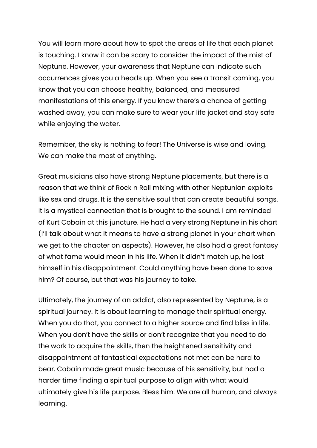You will learn more about how to spot the areas of life that each planet is touching. I know it can be scary to consider the impact of the mist of Neptune. However, your awareness that Neptune can indicate such occurrences gives you a heads up. When you see a transit coming, you know that you can choose healthy, balanced, and measured manifestations of this energy. If you know there's a chance of getting washed away, you can make sure to wear your life jacket and stay safe while enjoying the water.

Remember, the sky is nothing to fear! The Universe is wise and loving. We can make the most of anything.

Great musicians also have strong Neptune placements, but there is a reason that we think of Rock n Roll mixing with other Neptunian exploits like sex and drugs. It is the sensitive soul that can create beautiful songs. It is a mystical connection that is brought to the sound. I am reminded of Kurt Cobain at this juncture. He had a very strong Neptune in his chart (I'll talk about what it means to have a strong planet in your chart when we get to the chapter on aspects). However, he also had a great fantasy of what fame would mean in his life. When it didn't match up, he lost himself in his disappointment. Could anything have been done to save him? Of course, but that was his journey to take.

Ultimately, the journey of an addict, also represented by Neptune, is a spiritual journey. It is about learning to manage their spiritual energy. When you do that, you connect to a higher source and find bliss in life. When you don't have the skills or don't recognize that you need to do the work to acquire the skills, then the heightened sensitivity and disappointment of fantastical expectations not met can be hard to bear. Cobain made great music because of his sensitivity, but had a harder time finding a spiritual purpose to align with what would ultimately give his life purpose. Bless him. We are all human, and always learning.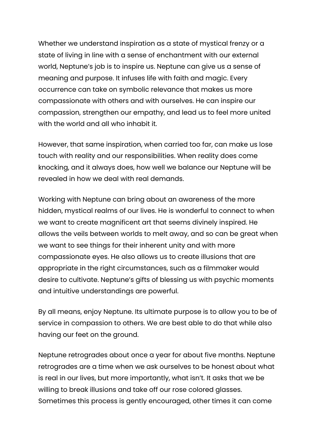Whether we understand inspiration as a state of mystical frenzy or a state of living in line with a sense of enchantment with our external world, Neptune's job is to inspire us. Neptune can give us a sense of meaning and purpose. It infuses life with faith and magic. Every occurrence can take on symbolic relevance that makes us more compassionate with others and with ourselves. He can inspire our compassion, strengthen our empathy, and lead us to feel more united with the world and all who inhabit it.

However, that same inspiration, when carried too far, can make us lose touch with reality and our responsibilities. When reality does come knocking, and it always does, how well we balance our Neptune will be revealed in how we deal with real demands.

Working with Neptune can bring about an awareness of the more hidden, mystical realms of our lives. He is wonderful to connect to when we want to create magnificent art that seems divinely inspired. He allows the veils between worlds to melt away, and so can be great when we want to see things for their inherent unity and with more compassionate eyes. He also allows us to create illusions that are appropriate in the right circumstances, such as a filmmaker would desire to cultivate. Neptune's gifts of blessing us with psychic moments and intuitive understandings are powerful.

By all means, enjoy Neptune. Its ultimate purpose is to allow you to be of service in compassion to others. We are best able to do that while also having our feet on the ground.

Neptune retrogrades about once a year for about five months. Neptune retrogrades are a time when we ask ourselves to be honest about what is real in our lives, but more importantly, what isn't. It asks that we be willing to break illusions and take off our rose colored glasses. Sometimes this process is gently encouraged, other times it can come